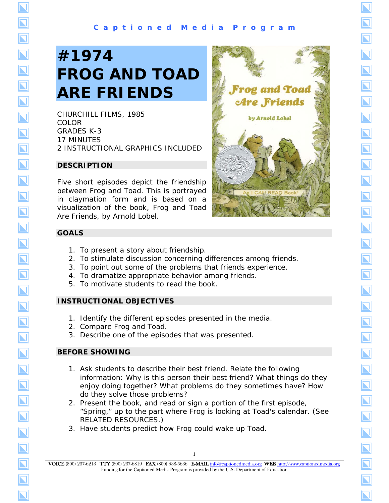# **#1974 FROG AND TOAD ARE FRIENDS**

CHURCHILL FILMS, 1985 COLOR GRADES K-3 17 MINUTES 2 INSTRUCTIONAL GRAPHICS INCLUDED

#### **DESCRIPTION**

Five short episodes depict the friendship between Frog and Toad. This is portrayed in claymation form and is based on a visualization of the book, *Frog and Toad Are Friends*, by Arnold Lobel.

#### **GOALS**

- 1. To present a story about friendship.
- 2. To stimulate discussion concerning differences among friends.
- 3. To point out some of the problems that friends experience.
- 4. To dramatize appropriate behavior among friends.
- 5. To motivate students to read the book.

#### **INSTRUCTIONAL OBJECTIVES**

- 1. Identify the different episodes presented in the media.
- 2. Compare Frog and Toad.
- 3. Describe one of the episodes that was presented.

#### **BEFORE SHOWING**

- 1. Ask students to describe their best friend. Relate the following information: Why is this person their best friend? What things do they enjoy doing together? What problems do they sometimes have? How do they solve those problems?
- 2. Present the book, and read or sign a portion of the first episode, "Spring," up to the part where Frog is looking at Toad's calendar. (See RELATED RESOURCES.)
- 3. Have students predict how Frog could wake up Toad.



 $\overline{\bf N}$ 

 $\overline{\blacksquare}$ 

 $\overline{\blacksquare}$ 

 $\overline{\mathbf{N}}$ 

 $\overline{\mathbf{N}}$ 

 $\overline{\bf N}$ 

 $\overline{\blacktriangle}$ 

 $\overline{\mathbf{N}}$ 

 $\overline{\mathbf{N}}$ 

 $\overline{\bm{\Sigma}}$ 

 $\overline{\bm{\mathsf{N}}}$ 

 $\overline{\bf N}$ 

 $\overline{\mathbf{N}}$ 

 $\overline{\mathbf{N}}$ 

 $\overline{\mathbf{N}}$ 

 $\overline{\mathbf{N}}$ 

 $\overline{\bm{\Sigma}}$ 

 $\overline{\bf N}$ 

 $\overline{\mathbf{N}}$ 

 $\overline{\bm{\Sigma}}$ 

 $\overline{\bm{\Sigma}}$ 

 $\overline{\bm{\nabla}}$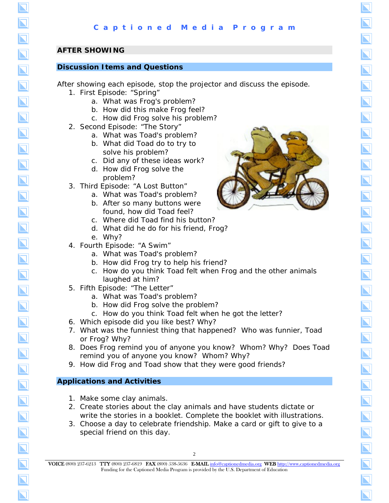#### **AFTER SHOWING**

#### **Discussion Items and Questions**

After showing each episode, stop the projector and discuss the episode.

- 1. First Episode: "Spring"
	- a. What was Frog's problem?
	- b. How did this make Frog feel?
	- c. How did Frog solve his problem?
- 2. Second Episode: "The Story"
	- a. What was Toad's problem?
	- b. What did Toad do to try to solve his problem?
	- c. Did any of these ideas work?
	- d. How did Frog solve the problem?
- 3. Third Episode: "A Lost Button"
	- a. What was Toad's problem?
	- b. After so many buttons were found, how did Toad feel?
	- c. Where did Toad find his button?
	- d. What did he do for his friend, Frog?
	- e. Why?
- 4. Fourth Episode: "A Swim"
	- a. What was Toad's problem?
	- b. How did Frog try to help his friend?
	- c. How do you think Toad felt when Frog and the other animals laughed at him?
- 5. Fifth Episode: "The Letter"
	- a. What was Toad's problem?
	- b. How did Frog solve the problem?
	- c. How do you think Toad felt when he got the letter?
- 6. Which episode did you like best? Why?
- 7. What was the funniest thing that happened? Who was funnier, Toad or Frog? Why?
- 8. Does Frog remind you of anyone you know? Whom? Why? Does Toad remind you of anyone you know? Whom? Why?
- 9. How did Frog and Toad show that they were good friends?

#### **Applications and Activities**

- 1. Make some clay animals.
- 2. Create stories about the clay animals and have students dictate or write the stories in a booklet. Complete the booklet with illustrations.
- 3. Choose a day to celebrate friendship. Make a card or gift to give to a special friend on this day.

2



 $\overline{\bm{\nabla}}$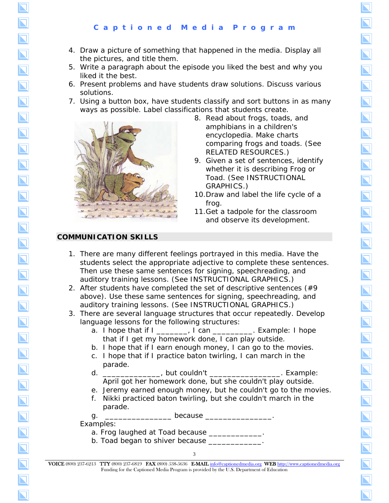- 4. Draw a picture of something that happened in the media. Display all the pictures, and title them.
- 5. Write a paragraph about the episode you liked the best and why you liked it the best.
- 6. Present problems and have students draw solutions. Discuss various solutions.
- 7. Using a button box, have students classify and sort buttons in as many ways as possible. Label classifications that students create.



- 8. Read about frogs, toads, and amphibians in a children's encyclopedia. Make charts comparing frogs and toads. (See RELATED RESOURCES.)
- 9. Given a set of sentences, identify whether it is describing Frog or Toad. (See INSTRUCTIONAL GRAPHICS.)
- 10.Draw and label the life cycle of a frog.
- 11.Get a tadpole for the classroom and observe its development.

#### **COMMUNICATION SKILLS**

- 1. There are many different feelings portrayed in this media. Have the students select the appropriate adjective to complete these sentences. Then use these same sentences for signing, speechreading, and auditory training lessons. (See INSTRUCTIONAL GRAPHICS.)
- 2. After students have completed the set of descriptive sentences (#9 above). Use these same sentences for signing, speechreading, and auditory training lessons. (See INSTRUCTIONAL GRAPHICS.)
- 3. There are several language structures that occur repeatedly. Develop language lessons for the following structures:
	- a. I hope that if I \_\_\_\_\_\_\_, I can \_\_\_\_\_\_\_\_\_. Example: I hope that if I get my homework done, I can play outside.
	- b. I hope that if I earn enough money, I can go to the movies.
	- c. I hope that if I practice baton twirling, I can march in the parade.
	- d. \_\_\_\_\_\_\_\_\_\_\_\_\_, but couldn't \_\_\_\_\_\_\_\_\_\_\_\_\_\_\_\_. Example: April got her homework done, but she couldn't play outside.
	- e. Jeremy earned enough money, but he couldn't go to the movies.
	- f. Nikki practiced baton twirling, but she couldn't march in the parade.

g. \_\_\_\_\_\_\_\_\_\_\_\_\_\_\_ because \_\_\_\_\_\_\_\_\_\_\_\_\_\_\_.

#### Examples:

- a. Frog laughed at Toad because \_\_\_\_\_\_\_\_\_\_\_\_\_.
- b. Toad began to shiver because \_\_\_\_\_\_\_\_\_\_\_\_.

3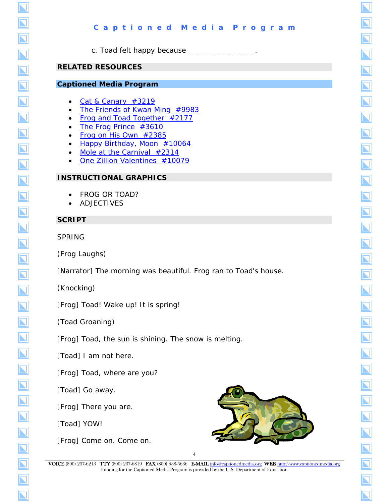c. Toad felt happy because \_\_\_\_\_\_\_\_\_\_\_\_\_\_\_

#### **RELATED RESOURCES**

#### **Captioned Media Program**

- *[Cat & Canary](http://www.captionedmedia.org/titledetail.asp?dn=3219)* #3219
- *[The Friends of Kwan Ming](http://www.captionedmedia.org/titledetail.asp?dn=9983)* #9983
- *[Frog and Toad Together](http://www.captionedmedia.org/titledetail.asp?dn=2177)* #2177
- *[The Frog Prince](http://www.captionedmedia.org/titledetail.asp?dn=3610)* #3610
- *[Frog on His Own](http://www.captionedmedia.org/titledetail.asp?dn=2385)* #2385
- *[Happy Birthday, Moon](http://www.captionedmedia.org/titledetail.asp?dn=10064)* #10064
- *[Mole at the Carnival](http://www.captionedmedia.org/titledetail.asp?dn=2314)* #2314
- *[One Zillion Valentines](http://www.captionedmedia.org/titledetail.asp?dn=10079)* #10079

#### **INSTRUCTIONAL GRAPHICS**

- FROG OR TOAD?
- **ADJECTIVES**

#### **SCRIPT**

#### **SPRING**

(Frog Laughs)

[Narrator] The morning was beautiful. Frog ran to Toad's house.

(Knocking)

[Frog] Toad! Wake up! It is spring!

(Toad Groaning)

[Frog] Toad, the sun is shining. The snow is melting.

[Toad] I am not here.

[Frog] Toad, where are you?

[Toad] Go away.

[Frog] There you are.

[Toad] YOW!

[Frog] Come on. Come on.



4

 VOICE (800) 237-6213 TTY (800) 237-6819 FAX (800) 538-5636 E-MAIL [info@captionedmedia.org W](mailto:info@captionedmedia.org)EB <http://www.captionedmedia.org> Funding for the Captioned Media Program is provided by the U.S. Department of Education

 $\boldsymbol{\nabla}$  $\overline{\bf N}$  $\overline{\bm{\Sigma}}$  $\overline{\bm{\Sigma}}$  $\overline{\bm{\Sigma}}$  $\overline{\mathbf{N}}$  $\overline{\bf N}$  $\overline{\bf N}$  $\overline{\mathbf{N}}$  $\overline{\mathbf{N}}$  $\overline{\mathbf{N}}$  $\overline{\mathbf{N}}$  $\overline{\mathbf{N}}$  $\overline{\mathbf{N}}$  $\overline{\mathbf{N}}$  $\overline{\mathbf{N}}$  $\overline{\bm{\mathsf{N}}}$  $\overline{\bm{\mathsf{N}}}$  $\overline{\bm{\mathsf{N}}}$  $\overline{\bm{\mathsf{N}}}$  $\overline{\blacktriangle}$  $\overline{\bm{\Pi}}$  $\overline{\mathbf{N}}$  $\overline{\bm{\Sigma}}$  $\overline{\bm{\mathsf{N}}}$  $\overline{\mathbf{N}}$  $\overline{\bm{\Sigma}}$  $\overline{\mathbf{N}}$ 

 $\overline{\blacksquare}$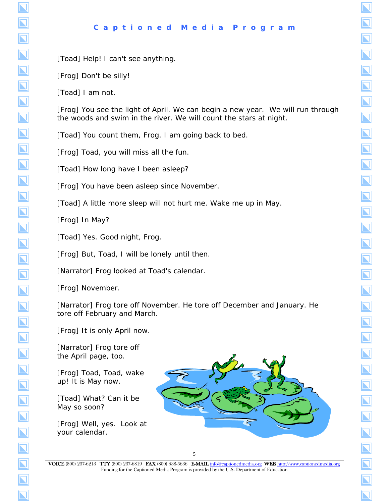$\boldsymbol{\nabla}$ 

 $\overline{\blacktriangle}$ 

 $\blacksquare$ 

 $\overline{\bf N}$ 

 $\overline{\bm{\mathsf{N}}}$ 

 $\overline{\bm{\mathsf{N}}}$ 

 $\overline{\bm{\mathsf{N}}}$ 

 $\overline{\bm{\mathsf{N}}}$ 

 $\overline{\bf N}$ 

 $\overline{\blacktriangle}$ 

 $\overline{\bm{\mathsf{N}}}$ 

 $\overline{\bm{\mathsf{N}}}$ 

 $\overline{\bf N}$ 

 $\overline{\bf N}$ 

 $\overline{\blacksquare}$ 

 $\overline{\bm{\mathsf{N}}}$ 

 $\overline{\bm{\mathsf{N}}}$ 

 $\overline{\blacksquare}$ 

 $\overline{\bm{\mathsf{N}}}$ 

 $\overline{\bm{\mathsf{N}}}$ 

 $\overline{\blacktriangle}$ 

 $\overline{\bm{\mathsf{N}}}$ 

 $\overline{\blacktriangle}$ 

 $\blacksquare$ 

 $\overline{\bf N}$ 

 $\overline{\mathbf{N}}$ 

 $\overline{\bm{\Sigma}}$ 

 $\overline{\bm{\Sigma}}$ 

 $\overline{\bm{\mathsf{N}}}$ 

 $\overline{\bm{\nabla}}$ 

[Toad] Help! I can't see anything.

[Frog] Don't be silly!

[Toad] I am not.

[Frog] You see the light of April. We can begin a new year. We will run through the woods and swim in the river. We will count the stars at night.

[Toad] You count them, Frog. I am going back to bed.

[Frog] Toad, you will miss all the fun.

[Toad] How long have I been asleep?

[Frog] You have been asleep since November.

[Toad] A little more sleep will not hurt me. Wake me up in May.

[Frog] In May?

[Toad] Yes. Good night, Frog.

[Frog] But, Toad, I will be lonely until then.

[Narrator] Frog looked at Toad's calendar.

[Frog] November.

[Narrator] Frog tore off November. He tore off December and January. He tore off February and March.

[Frog] It is only April now.

[Narrator] Frog tore off the April page, too.

[Frog] Toad, Toad, wake up! It is May now.

[Toad] What? Can it be May so soon?

[Frog] Well, yes. Look at your calendar.



 VOICE (800) 237-6213 TTY (800) 237-6819 FAX (800) 538-5636 E-MAIL [info@captionedmedia.org W](mailto:info@captionedmedia.org)EB <http://www.captionedmedia.org> Funding for the Captioned Media Program is provided by the U.S. Department of Education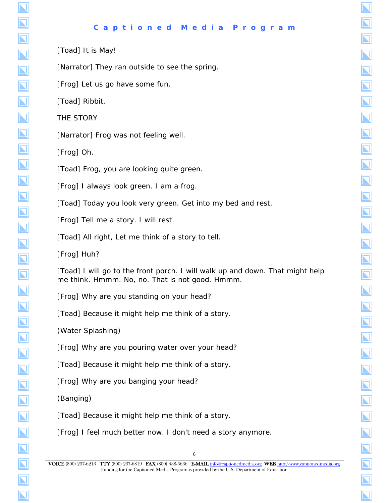$\boldsymbol{\Sigma}$ 

 $\blacksquare$ 

 $\blacksquare$ 

 $\blacksquare$ 

 $\overline{\bm{\mathsf{N}}}$ 

 $\overline{\bm{\mathsf{N}}}$ 

 $\overline{\bf N}$ 

 $\mathbf \Pi$ 

 $\overline{\bf N}$ 

 $\overline{\blacktriangle}$ 

 $\overline{\bm{\mathsf{N}}}$ 

 $\overline{\mathbf{N}}$ 

 $\overline{\bf N}$ 

 $\overline{\bf N}$ 

 $\overline{\mathbf{N}}$ 

 $\overline{\mathbf{N}}$ 

 $\overline{\bm{\mathsf{N}}}$ 

 $\overline{\mathbf{N}}$ 

 $\overline{\bm{\Pi}}$ 

 $\bm{\nabla}$ 

 $\overline{\bm{\Sigma}}$ 

 $\overline{\bm{\mathsf{N}}}$ 

 $\blacksquare$ 

 $\overline{\bf N}$ 

 $\overline{\bm{\mathsf{N}}}$ 

 $\blacksquare$ 

 $\overline{\bm{\mathsf{N}}}$ 

 $\overline{\bm{\Sigma}}$ 

 $\overline{\bm{\mathsf{N}}}$ 

 $\overline{\blacksquare}$ 

[Toad] It is May!

[Narrator] They ran outside to see the spring.

[Frog] Let us go have some fun.

[Toad] Ribbit.

THE STORY

[Narrator] Frog was not feeling well.

[Frog] Oh.

[Toad] Frog, you are looking quite green.

[Frog] I always look green. I am a frog.

[Toad] Today you look very green. Get into my bed and rest.

[Frog] Tell me a story. I will rest.

[Toad] All right, Let me think of a story to tell.

[Frog] Huh?

[Toad] I will go to the front porch. I will walk up and down. That might help me think. Hmmm. No, no. That is not good. Hmmm.

[Frog] Why are you standing on your head?

[Toad] Because it might help me think of a story.

(Water Splashing)

[Frog] Why are you pouring water over your head?

[Toad] Because it might help me think of a story.

[Frog] Why are you banging your head?

(Banging)

[Toad] Because it might help me think of a story.

[Frog] I feel much better now. I don't need a story anymore.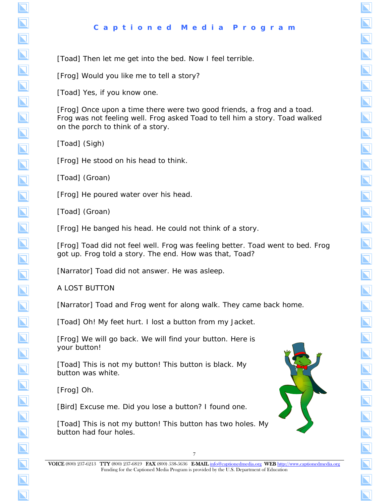[Toad] Then let me get into the bed. Now I feel terrible.

[Frog] Would you like me to tell a story?

[Toad] Yes, if you know one.

[Frog] Once upon a time there were two good friends, a frog and a toad. Frog was not feeling well. Frog asked Toad to tell him a story. Toad walked on the porch to think of a story.

[Toad] (Sigh)

[Frog] He stood on his head to think.

[Toad] (Groan)

[Frog] He poured water over his head.

[Toad] (Groan)

[Frog] He banged his head. He could not think of a story.

[Frog] Toad did not feel well. Frog was feeling better. Toad went to bed. Frog got up. Frog told a story. The end. How was that, Toad?

[Narrator] Toad did not answer. He was asleep.

A LOST BUTTON

[Narrator] Toad and Frog went for along walk. They came back home.

[Toad] Oh! My feet hurt. I lost a button from my Jacket.

[Frog] We will go back. We will find your button. Here is your button!

[Toad] This is not my button! This button is black. My button was white.

[Frog] Oh.

[Bird] Excuse me. Did you lose a button? I found one.

[Toad] This is not my button! This button has two holes. My button had four holes.



 $\boldsymbol{\nabla}$ 

 $\overline{\bf N}$ 

 $\overline{\blacksquare}$ 

 $\overline{\bm{\mathsf{N}}}$ 

 $\overline{\bm{\mathsf{N}}}$ 

 $\overline{\bf N}$ 

 $\mathbf \Pi$ 

 $\overline{\mathbf{N}}$ 

 $\overline{\blacktriangle}$ 

 $\overline{\bf N}$ 

 $\overline{\mathbf{N}}$ 

 $\overline{\mathbf{N}}$ 

 $\overline{\bm{\mathsf{N}}}$ 

 $\overline{\bm{\mathsf{N}}}$ 

 $\overline{\bm{\Pi}}$ 

 $\overline{\bm{\Pi}}$ 

 $\overline{\bm{\mathsf{N}}}$ 

 $\overline{\bm{\Pi}}$ 

 $\blacksquare$ 

 $\overline{\bm{\mathsf{N}}}$ 

 $\overline{\bf N}$ 

 $\overline{\blacktriangle}$ 

 $\overline{\blacktriangle}$ 

 $\overline{\bm{\Sigma}}$ 

 $\overline{\blacktriangle}$ 

 $\overline{\bm{\nabla}}$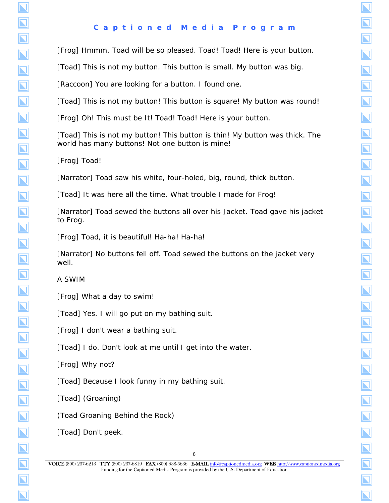[Frog] Hmmm. Toad will be so pleased. Toad! Toad! Here is your button.

[Toad] This is not my button. This button is small. My button was big.

[Raccoon] You are looking for a button. I found one.

[Toad] This is not my button! This button is square! My button was round!

[Frog] Oh! This must be It! Toad! Toad! Here is your button.

[Toad] This is not my button! This button is thin! My button was thick. The world has many buttons! Not one button is mine!

[Frog] Toad!

 $\boldsymbol{\Sigma}$ 

 $\overline{\bf N}$ 

 $\boldsymbol{\nabla}$ 

 $\boldsymbol{\nabla}$ 

 $\boldsymbol{\nabla}$ 

 $\mathbf \Pi$ 

 $\mathbf \Pi$ 

 $\mathbf \Pi$ 

 $\mathbf \Pi$ 

 $\boldsymbol{\nabla}$ 

 $\mathbf \Pi$ 

 $\mathbf \Pi$ 

 $\mathbf \Pi$ 

 $\blacksquare$ 

 $\boldsymbol{\Sigma}$ 

 $\overline{\mathbf{N}}$ 

 $\overline{\mathbf{N}}$ 

 $\overline{\mathbf{N}}$ 

 $\overline{\mathbf{N}}$ 

 $\overline{\mathbf{N}}$ 

 $\overline{\bm{\mathsf{N}}}$ 

 $\overline{\bm{\mathsf{N}}}$ 

 $\overline{\mathbf{N}}$ 

 $\overline{\mathbf{N}}$ 

 $\mathbf \Pi$ 

 $\boldsymbol{\nabla}$ 

 $\boldsymbol{\nabla}$ 

 $\boldsymbol{\nabla}$ 

 $\blacksquare$ 

 $\boldsymbol{\nabla}$ 

 $\boldsymbol{\nabla}$ 

 $\blacksquare$ 

[Narrator] Toad saw his white, four-holed, big, round, thick button.

[Toad] It was here all the time. What trouble I made for Frog!

[Narrator] Toad sewed the buttons all over his Jacket. Toad gave his jacket to Frog.

[Frog] Toad, it is beautiful! Ha-ha! Ha-ha!

[Narrator] No buttons fell off. Toad sewed the buttons on the jacket very well.

A SWIM

[Frog] What a day to swim!

[Toad] Yes. I will go put on my bathing suit.

[Frog] I don't wear a bathing suit.

[Toad] I do. Don't look at me until I get into the water.

[Frog] Why not?

[Toad] Because I look funny in my bathing suit.

[Toad] (Groaning)

(Toad Groaning Behind the Rock)

[Toad] Don't peek.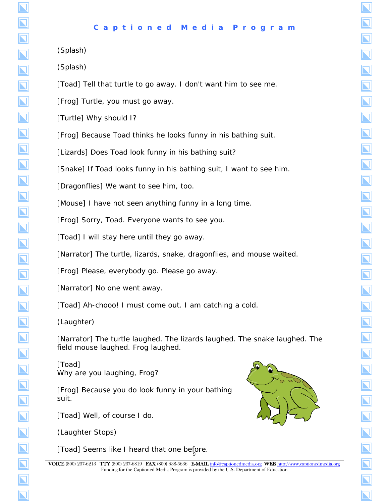#### (Splash)

(Splash)

[Toad] Tell that turtle to go away. I don't want him to see me.

[Frog] Turtle, you must go away.

[Turtle] Why should I?

[Frog] Because Toad thinks he looks funny in his bathing suit.

[Lizards] Does Toad look funny in his bathing suit?

[Snake] If Toad looks funny in his bathing suit, I want to see him.

[Dragonflies] We want to see him, too.

[Mouse] I have not seen anything funny in a long time.

[Frog] Sorry, Toad. Everyone wants to see you.

[Toad] I will stay here until they go away.

[Narrator] The turtle, lizards, snake, dragonflies, and mouse waited.

[Frog] Please, everybody go. Please go away.

[Narrator] No one went away.

[Toad] Ah-chooo! I must come out. I am catching a cold.

(Laughter)

[Narrator] The turtle laughed. The lizards laughed. The snake laughed. The field mouse laughed. Frog laughed.

[Toad] Why are you laughing, Frog?

[Frog] Because you do look funny in your bathing suit.

[Toad] Well, of course I do.

(Laughter Stops)

[Toad] Seems like I heard that one before.



 $\blacksquare$ 

 $\boldsymbol{\nabla}$ 

 $\blacksquare$ 

 $\overline{\blacksquare}$ 

 $\overline{\bm{\mathsf{N}}}$ 

 $\overline{\bf N}$ 

 $\bm{\Pi}$ 

 $\mathbf \Pi$ 

 $\overline{\blacksquare}$ 

 $\overline{\mathbf{N}}$ 

 $\overline{\bf N}$ 

 $\overline{\bm{\mathsf{N}}}$ 

 $\overline{\bf N}$ 

 $\blacksquare$ 

 $\overline{\bm{\Sigma}}$ 

 $\overline{\bm{\mathsf{N}}}$ 

 $\overline{\bm{\Pi}}$ 

 $\overline{\bm{\mathsf{N}}}$ 

 $\overline{\bm{\mathsf{N}}}$ 

 $\overline{\bm{\mathsf{N}}}$ 

 $\overline{\blacktriangle}$ 

 $\overline{\bm{\mathsf{N}}}$ 

 $\blacksquare$ 

 $\overline{\bf N}$ 

 $\overline{\bm{\Sigma}}$ 

 $\overline{\blacktriangle}$ 

 $\overline{\bm{\mathsf{N}}}$ 

 $\overline{\bm{\Sigma}}$ 

 $\overline{\bm{\nabla}}$ 

 $\overline{\bm{\nabla}}$ 

 VOICE (800) 237-6213 TTY (800) 237-6819 FAX (800) 538-5636 E-MAIL [info@captionedmedia.org W](mailto:info@captionedmedia.org)EB <http://www.captionedmedia.org> Funding for the Captioned Media Program is provided by the U.S. Department of Education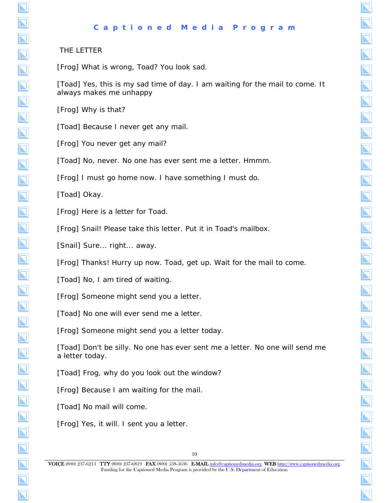$\boldsymbol{\Sigma}$ 

 $\overline{\blacktriangle}$ 

 $\overline{\bm{\mathsf{N}}}$ 

 $\overline{\bm{\nabla}}$ 

 $\overline{\bf N}$ 

 $\overline{\bf N}$ 

 $\bm{\Pi}$ 

 $\mathbf \Pi$ 

 $\overline{\bf N}$ 

 $\blacksquare$ 

 $\blacksquare$ 

 $\overline{\bm{\mathsf{N}}}$ 

 $\overline{\bf N}$ 

 $\blacksquare$ 

 $\overline{\blacktriangle}$ 

 $\overline{\bm{\mathsf{N}}}$ 

 $\overline{\bm{\mathsf{N}}}$ 

 $\overline{\bm{\mathsf{N}}}$ 

 $\overline{\bm{\mathsf{N}}}$ 

 $\overline{\bm{\mathsf{N}}}$ 

 $\overline{\blacktriangle}$ 

 $\overline{\bm{\mathsf{N}}}$ 

 $\blacksquare$ 

 $\overline{\blacktriangle}$ 

 $\overline{\bf N}$ 

 $\bm{\Pi}$ 

 $\overline{\bm{\mathsf{N}}}$ 

 $\overline{\bm{\Sigma}}$ 

 $\overline{\bm{\mathsf{N}}}$ 

 $\overline{\blacksquare}$ 

#### THE LETTER

[Frog] What is wrong, Toad? You look sad.

[Toad] *Yes,* this is my sad time of day. I am waiting for the mail to come. It always makes me unhappy

[Frog] Why is that?

[Toad] Because I never get any mail.

[Frog] You never get any mail?

[Toad] No, never. No one has ever sent me a letter. Hmmm.

[Frog] I must go home now. I have something I must do.

[Toad] Okay.

[Frog] Here is a letter for Toad.

[Frog] Snail! Please take this letter. Put it in Toad's mailbox.

[Snail] Sure... right... away.

[Frog] Thanks! Hurry up now. Toad, get up. Wait for the mail to come.

[Toad] No, I am tired of waiting.

[Frog] Someone might send you a letter.

[Toad] No one will ever send me a letter.

[Frog] Someone might send you a letter today.

[Toad] Don't be silly. No one has ever sent me a letter. No one will send me a letter today.

[Toad] Frog, why do you look out the window?

[Frog] Because I am waiting for the mail.

[Toad] No mail will come.

[Frog] Yes, it will. I sent you a letter.

 VOICE (800) 237-6213 TTY (800) 237-6819 FAX (800) 538-5636 E-MAIL [info@captionedmedia.org W](mailto:info@captionedmedia.org)EB <http://www.captionedmedia.org> Funding for the Captioned Media Program is provided by the U.S. Department of Education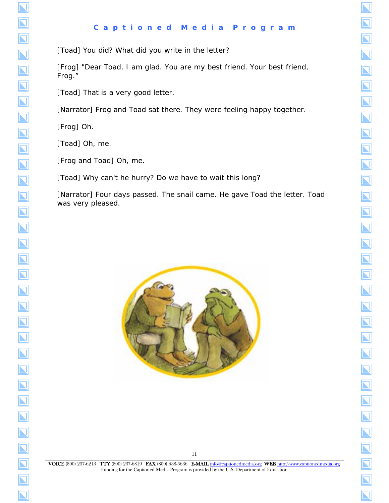[Toad] You did? What did you write in the letter?

[Frog] "Dear Toad, I am glad. You are my best friend. Your best friend, Frog."

[Toad] That is a very good letter.

[Narrator] Frog and Toad sat there. They were feeling happy together.

[Frog] Oh.

 $\overline{\mathbf{L}}$ 

 $\overline{\bm{\mathsf{N}}}$ 

 $\overline{\bm{\mathsf{N}}}$ 

 $\overline{\mathbf{N}}$ 

 $\overline{\mathbf{N}}$ 

 $\overline{\mathbf{N}}$ 

 $\overline{\mathbf{N}}$ 

 $\overline{\mathbf{N}}$ 

 $\overline{\mathbf{N}}$ 

 $\overline{\mathbf{N}}$ 

 $\overline{\mathbf{N}}$ 

 $\overline{\mathbf{N}}$ 

 $\overline{\mathbf{N}}$ 

 $\overline{\mathbf{N}}$ 

 $\overline{\mathbf{N}}$ 

 $\overline{\mathbf{N}}$ 

 $\overline{\mathbf{N}}$ 

 $\overline{\mathbf{N}}$ 

 $\overline{\mathbf{N}}$ 

 $\overline{\mathbf{N}}$ 

 $\overline{\mathbf{N}}$ 

 $\overline{\bm{\mathsf{N}}}$ 

 $\overline{\mathbf{N}}$ 

 $\overline{\mathbf{N}}$ 

 $\overline{\mathbf{N}}$ 

 $\overline{\mathbf{N}}$ 

 $\overline{\bm{\mathsf{N}}}$ 

 $\overline{\mathbf{N}}$ 

 $\overline{\mathbf{N}}$ 

 $\overline{\mathbf{N}}$ 

 $\overline{\mathbf{N}}$ 

 $\overline{\bm{\Pi}}$ 

[Toad] Oh, me.

[Frog and Toad] Oh, me.

[Toad] Why can't he hurry? Do we have to wait this long?

[Narrator] Four days passed. The snail came. He gave Toad the letter. Toad was very pleased.



11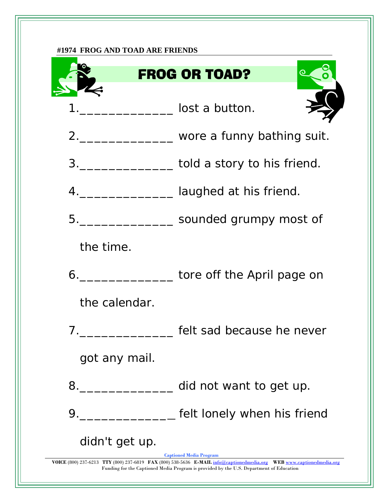### **#1974 FROG AND TOAD ARE FRIENDS**

|                                                                                                                                                                                                                                                   | <b>FROG OR TOAD?</b>                                |
|---------------------------------------------------------------------------------------------------------------------------------------------------------------------------------------------------------------------------------------------------|-----------------------------------------------------|
|                                                                                                                                                                                                                                                   | <u>_______________</u> lost a button.               |
|                                                                                                                                                                                                                                                   | 2.___________________ wore a funny bathing suit.    |
|                                                                                                                                                                                                                                                   | 3. ____________________ told a story to his friend. |
|                                                                                                                                                                                                                                                   | 4. All aughed at his friend.                        |
|                                                                                                                                                                                                                                                   | 5. ____________________ sounded grumpy most of      |
| the time.                                                                                                                                                                                                                                         |                                                     |
|                                                                                                                                                                                                                                                   | 6. ____________________ tore off the April page on  |
| the calendar.                                                                                                                                                                                                                                     |                                                     |
|                                                                                                                                                                                                                                                   | 7. The sad because he never                         |
| got any mail.                                                                                                                                                                                                                                     |                                                     |
| $8. \underline{\hspace{1.5cm}}$                                                                                                                                                                                                                   | did not want to get up.                             |
| 9.                                                                                                                                                                                                                                                | felt lonely when his friend                         |
| didn't get up.                                                                                                                                                                                                                                    |                                                     |
| <b>Captioned Media Program</b><br>VOICE (800) 237-6213 TTY (800) 237-6819 FAX (800) 538-5636 E-MAIL info@captionedmedia.org WEB www.captionedmedia.org<br>Funding for the Captioned Media Program is provided by the U.S. Department of Education |                                                     |